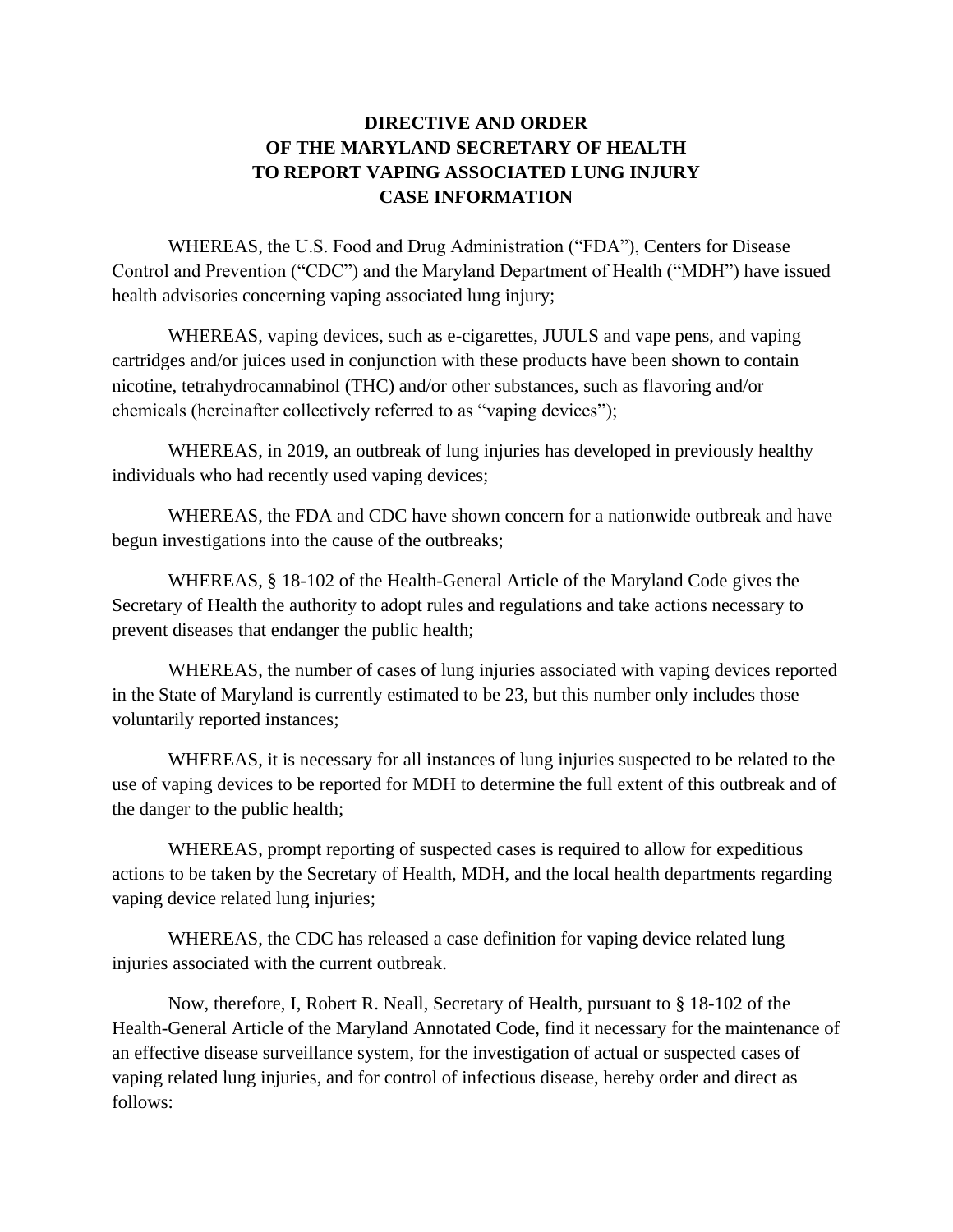## **DIRECTIVE AND ORDER OF THE MARYLAND SECRETARY OF HEALTH TO REPORT VAPING ASSOCIATED LUNG INJURY CASE INFORMATION**

WHEREAS, the U.S. Food and Drug Administration ("FDA"), Centers for Disease Control and Prevention ("CDC") and the Maryland Department of Health ("MDH") have issued health advisories concerning vaping associated lung injury;

WHEREAS, vaping devices, such as e-cigarettes, JUULS and vape pens, and vaping cartridges and/or juices used in conjunction with these products have been shown to contain nicotine, tetrahydrocannabinol (THC) and/or other substances, such as flavoring and/or chemicals (hereinafter collectively referred to as "vaping devices");

WHEREAS, in 2019, an outbreak of lung injuries has developed in previously healthy individuals who had recently used vaping devices;

WHEREAS, the FDA and CDC have shown concern for a nationwide outbreak and have begun investigations into the cause of the outbreaks;

WHEREAS, § 18-102 of the Health-General Article of the Maryland Code gives the Secretary of Health the authority to adopt rules and regulations and take actions necessary to prevent diseases that endanger the public health;

WHEREAS, the number of cases of lung injuries associated with vaping devices reported in the State of Maryland is currently estimated to be 23, but this number only includes those voluntarily reported instances;

WHEREAS, it is necessary for all instances of lung injuries suspected to be related to the use of vaping devices to be reported for MDH to determine the full extent of this outbreak and of the danger to the public health;

WHEREAS, prompt reporting of suspected cases is required to allow for expeditious actions to be taken by the Secretary of Health, MDH, and the local health departments regarding vaping device related lung injuries;

WHEREAS, the CDC has released a case definition for vaping device related lung injuries associated with the current outbreak.

Now, therefore, I, Robert R. Neall, Secretary of Health, pursuant to § 18-102 of the Health-General Article of the Maryland Annotated Code, find it necessary for the maintenance of an effective disease surveillance system, for the investigation of actual or suspected cases of vaping related lung injuries, and for control of infectious disease, hereby order and direct as follows: